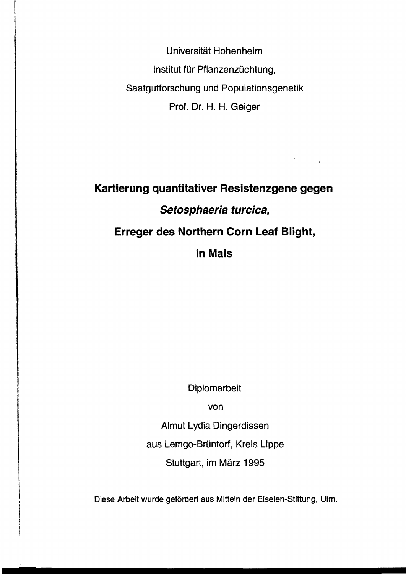Universität Hohenheim Institut für Pflanzenzüchtung, Saatgutforschung und Populationsgenetik Prof. Dr. H. H. Geiger

## **Kartierung quantitativer Resistenzgene gegen Setosphaeria turcica, Erreger des Northern Corn Leaf Blight, in Mais**

 $\sigma_{\rm{max}}$  and

Diplomarbeit

von

Almut Lydia Dingerdissen

aus Lemgo-Brüntorf, Kreis Lippe

Stuttgart, im März 1995

Diese Arbeit wurde gefördert aus Mitteln der Eiselen-Stiftung, Ulm.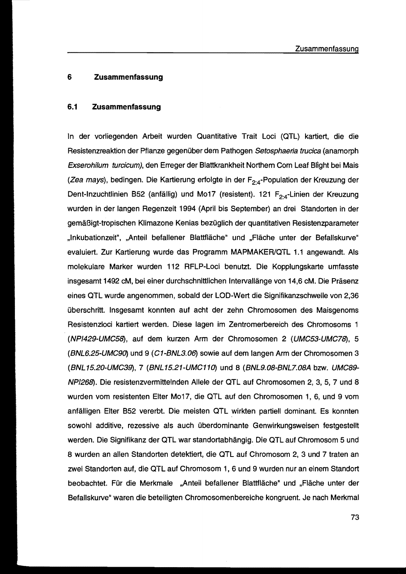## **6 Zusammenfassung**

## **6.1 Zusammenfassung**

In der vorliegenden Arbeit wurden Quantitative Trait Loci (QTL) kartiert, die die Resistenzreaktion der Pflanze gegenüber dem Pathogen Setosphaeria trucica (anamorph Exserohilum turcicum), den Erreger der Blattkrankheit Northern Corn Leaf Blight bei Mais (*Zea mays*), bedingen. Die Kartierung erfolgte in der F<sub>2:4</sub>-Population der Kreuzung der Dent-Inzuchtlinien B52 (anfällig) und Mo17 (resistent). 121 F<sub>2:4</sub>-Linien der Kreuzung wurden in der langen Regenzeit 1994 (April bis September) an drei Standorten in der gemäßigt-tropischen Klimazone Kenias bezüglich der quantitativen Resistenzparameter "Inkubationzeit", ,,Anteil befallener Blattfläche" und "Fläche unter der Befallskurve" evaluiert. Zur Kartierung wurde das Programm MAPMAKERIOTL 1.1 angewandt. Als molekulare Marker wurden 112 RFLP-Loci benutzt. Die Kopplungskarte umfasste insgesamt 1492 cM, bei einer durchschnittlichen Intervallänge von 14,6 cM. Die Präsenz eines OTL wurde angenommen, sobald der LOD-Wert die Signifikanzschwelle von 2,36 überschritt. Insgesamt konnten auf acht der zehn Chromosomen des Maisgenoms Resistenzloci kartiert werden. Diese lagen im Zentromerbereich des Chromosoms 1 (NP/429-UMC58), auf dem kurzen Arm der Chromosomen 2 (UMC53-UMC78), 5 (BNL6.25-UMC90) und 9 (C1-BNL3.06) sowie auf dem langen Arm der Chromosomen 3 (BNL15.20-UMC39), 7 (BNL15.21-UMC110) und 8 (BNL9.08-BNL7.08A bzw. UMC89-NP/268). Die resistenzvermittelnden Allele der QTL auf Chromosomen 2, 3, 5, 7 und 8 wurden vom resistenten Elter Mo17, die QTL auf den Chromosomen 1,6, und 9 vom anfälligen Elter B52 vererbt. Die meisten OTL wirkten partiell dominant. Es konnten sowohl additive, rezessive als auch überdominante Genwirkungsweisen festgestellt werden. Die Signifikanz der QTL war standortabhängig. Die QTL auf Chromosom 5 und 8 wurden an allen Standorten detektiert, die aTL auf Chromosom 2, 3 und 7 traten an zwei Standorten auf, die QTL auf Chromosom 1, 6 und 9 wurden nur an einem Standort beobachtet. Für die Merkmale "Anteil befallener Blattfläche" und "Fläche unter der Befallskurve" waren die beteiligten Chromosomenbereiche kongruent. Je nach Merkmal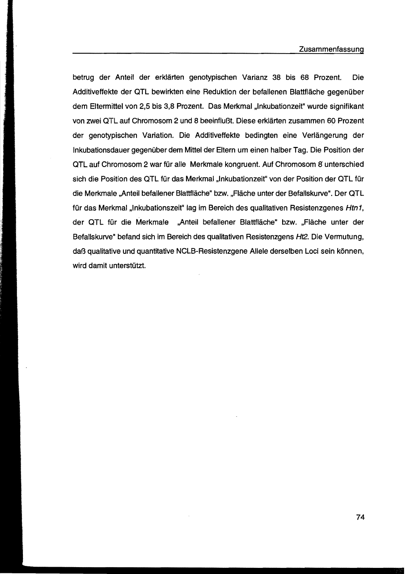betrug der Anteil der erklärten genotypischen Varianz 38 bis 68 Prozent. Die Additiveffekte der QTL bewirkten eine Reduktion der befallenen Blattfläche gegenüber dem Eltermittel von 2,5 bis 3,8 Prozent. Das Merkmal "Inkubationzeit" wurde signifikant von zwei aTL auf Chromosom 2 und 8 beeinflußt. Diese erklärten zusammen 60 Prozent der genotypischen Variation. Die Additiveffekte bedingten eine Verlängerung der Inkubationsdauer gegenüber dem Mittel der Eltern um einen halber Tag. Die Position der aTL auf Chromosom 2 war für alle Merkmale kongruent. Auf Chromosom 8 unterschied sich die Position des QTL für das Merkmal "Inkubationzeit" von der Position der QTL für die Merkmale "Anteil befallener Blattfläche" bzw. "Fläche unter der Befallskurve". Der QTL für das Merkmal "Inkubationszeit" lag im Bereich des qualitativen Resistenzgenes Htn1, der QTL für die Merkmale "Anteil befallener Blattfläche" bzw. "Fläche unter der Befallskurve" befand sich im Bereich des qualitativen Resistenzgens Ht2. Die Vermutung, daß qualitative und quantitative NCLB-Resistenzgene Allele derselben Loci sein können, wird damit unterstützt.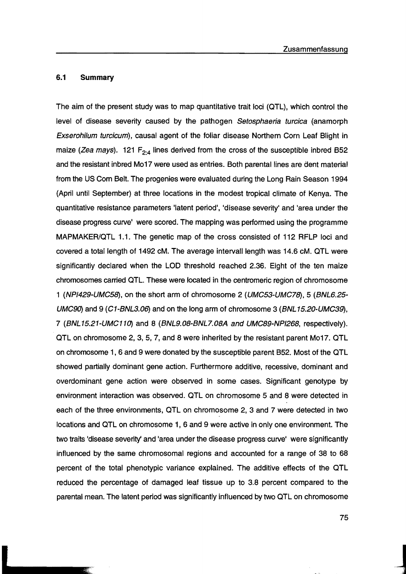## 6.1 Summary

The aim of the present study was to map quantitative trait loci (OTL) , which control the level of disease severity caused by the pathogen Setosphaeria turcica (anamorph Exserohilum turcicum), causal agent of the foliar disease Northern Corn Leaf 8light in maize (*Zea mays*). 121 F<sub>2:4</sub> lines derived from the cross of the susceptible inbred B52 and the resistant inbred M017 were used as entries. 80th parentallines are dent material from the US Corn 8elt. The progenies were evaluated during the Long Rain Season 1994 (April until September) at three locations in the modest tropical climate of Kenya. The quantitative resistance parameters 'latent period', 'disease severity' and 'area under the disease progress curve' were scored. The mapping was performed using the programme MAPMAKER/QTL 1.1. The genetic map of the cross consisted of 112 RFLP loci and covered a total length of 1492 cM. The average intervall length was 14.6 cM. OTL were significantly declared when the LOD threshold reached 2.36. Eight of the ten maize chromosomes carried OTL. These were located in the centromeric region of chromosome 1 (NP/429·UMC58), on the short arm of chromosome 2 (UMC53-UMC78), 5 (BNL6.25· UMC90) and 9 (C1-BNL3.06) and on the long arm of chromosome 3 (BNL15.20-UMC39), 7 (BNL15.21·UMC110) and 8 (BNL9.08-BNL7.08A and UMC89-NP/268, respectively). OTL on chromosome 2,3,5,7, and 8 were inherited by the resistant parent M017. OTL on chromosome 1, 6 and 9 were donated by the susceptible parent 852. Most of the OTL showed partially dominant gene action. Furthermore additive, recessive, dominant and overdominant gene action were observed in some cases. Significant genotype by environment interaction was observed. OTL on chromosome 5 and 8 were detected in each of the three environments, OTL on chromosome 2,3 and 7 were detected in two locations and OTL on chromosome 1, 6 and 9 were active in only one environment. The two traits 'disease severity' and 'area under the disease progress curve' were significantly influenced by the same chromosomal regions and accounted for a range of 38 to 68 percent of the total phenotypic variance explained. The additive effects of the OTL reduced the percentage of damaged leaf tissue up to 3.8 percent compared to the parental mean. The latent period was significantly influenced by two OTL on chromosome